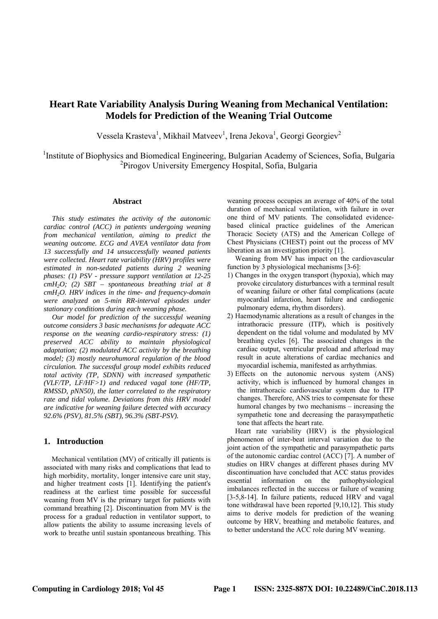# **Heart Rate Variability Analysis During Weaning from Mechanical Ventilation: Models for Prediction of the Weaning Trial Outcome**

Vessela Krasteva<sup>1</sup>, Mikhail Matveev<sup>1</sup>, Irena Jekova<sup>1</sup>, Georgi Georgiev<sup>2</sup>

<sup>1</sup>Institute of Biophysics and Biomedical Engineering, Bulgarian Academy of Sciences, Sofia, Bulgaria 2 Pirogov University Emergency Hospital, Sofia, Bulgaria

#### **Abstract**

*This study estimates the activity of the autonomic cardiac control (ACC) in patients undergoing weaning from mechanical ventilation, aiming to predict the weaning outcome. ECG and AVEA ventilator data from 13 successfully and 14 unsuccessfully weaned patients were collected. Heart rate variability (HRV) profiles were estimated in non-sedated patients during 2 weaning phases: (1) PSV - pressure support ventilation at 12-25 cmH2O; (2) SBT – spontaneous breathing trial at 8 cmH2O. HRV indices in the time- and frequency-domain were analyzed on 5-min RR-interval episodes under stationary conditions during each weaning phase.* 

*Our model for prediction of the successful weaning outcome considers 3 basic mechanisms for adequate ACC response on the weaning cardio-respiratory stress: (1) preserved ACC ability to maintain physiological adaptation; (2) modulated ACC activity by the breathing model; (3) mostly neurohumoral regulation of the blood circulation. The successful group model exhibits reduced total activity (TP, SDNN) with increased sympathetic (VLF/TP, LF/HF>1) and reduced vagal tone (HF/TP, RMSSD, pNN50), the latter correlated to the respiratory rate and tidal volume. Deviations from this HRV model are indicative for weaning failure detected with accuracy 92.6% (PSV), 81.5% (SBT), 96.3% (SBT-PSV).* 

### **1. Introduction**

Mechanical ventilation (MV) of critically ill patients is associated with many risks and complications that lead to high morbidity, mortality, longer intensive care unit stay, and higher treatment costs [1]. Identifying the patient's readiness at the earliest time possible for successful weaning from MV is the primary target for patients with command breathing [2]. Discontinuation from MV is the process for a gradual reduction in ventilator support, to allow patients the ability to assume increasing levels of work to breathe until sustain spontaneous breathing. This weaning process occupies an average of 40% of the total duration of mechanical ventilation, with failure in over one third of MV patients. The consolidated evidencebased clinical practice guidelines of the American Thoracic Society (ATS) and the American College of Chest Physicians (CHEST) point out the process of MV liberation as an investigation priority [1].

Weaning from MV has impact on the cardiovascular function by 3 physiological mechanisms [3-6]:

- 1) Changes in the oxygen transport (hypoxia), which may provoke circulatory disturbances with a terminal result of weaning failure or other fatal complications (acute myocardial infarction, heart failure and cardiogenic pulmonary edema, rhythm disorders).
- 2) Haemodynamic alterations as a result of changes in the intrathoracic pressure (ITP), which is positively dependent on the tidal volume and modulated by MV breathing cycles [6]. The associated changes in the cardiac output, ventricular preload and afterload may result in acute alterations of cardiac mechanics and myocardial ischemia, manifested as arrhythmias.
- 3) Effects on the autonomic nervous system (ANS) activity, which is influenced by humoral changes in the intrathoracic cardiovascular system due to ITP changes. Therefore, ANS tries to compensate for these humoral changes by two mechanisms – increasing the sympathetic tone and decreasing the parasympathetic tone that affects the heart rate.

Heart rate variability (HRV) is the physiological phenomenon of inter-beat interval variation due to the joint action of the sympathetic and parasympathetic parts of the autonomic cardiac control (ACC) [7]. A number of studies on HRV changes at different phases during MV discontinuation have concluded that ACC status provides essential information on the pathophysiological imbalances reflected in the success or failure of weaning [3-5,8-14]. In failure patients, reduced HRV and vagal tone withdrawal have been reported [9,10,12]. This study aims to derive models for prediction of the weaning outcome by HRV, breathing and metabolic features, and to better understand the ACC role during MV weaning.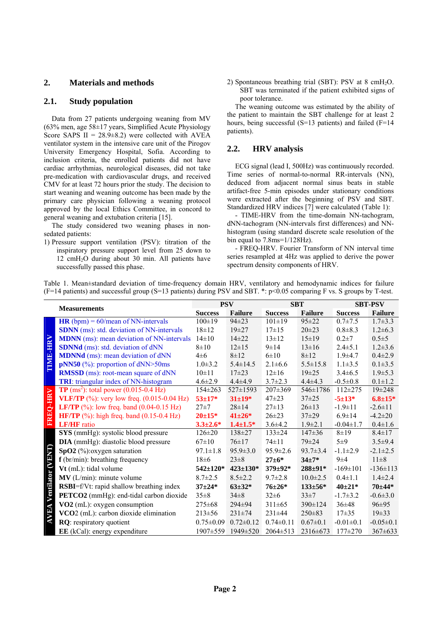# **2. Materials and methods**

## **2.1. Study population**

Data from 27 patients undergoing weaning from MV  $(63\%$  men, age  $58\pm17$  years, Simplified Acute Physiology Score SAPS  $II = 28.9 \pm 8.2$ ) were collected with AVEA ventilator system in the intensive care unit of the Pirogov University Emergency Hospital, Sofia. According to inclusion criteria, the enrolled patients did not have cardiac arrhythmias, neurological diseases, did not take pre-medication with cardiovascular drugs, and received CMV for at least 72 hours prior the study. The decision to start weaning and weaning outcome has been made by the primary care physician following a weaning protocol approved by the local Ethics Committee, in concord to general weaning and extubation criteria [15].

The study considered two weaning phases in nonsedated patients:

1) Pressure support ventilation (PSV): titration of the inspiratory pressure support level from 25 down to  $12 \text{ cm}$ H<sub>2</sub>O during about 30 min. All patients have successfully passed this phase.

2) Spontaneous breathing trial (SBT): PSV at  $8 \text{ cm}H_2O$ . SBT was terminated if the patient exhibited signs of poor tolerance.

The weaning outcome was estimated by the ability of the patient to maintain the SBT challenge for at least 2 hours, being successful (S=13 patients) and failed (F=14 patients).

# **2.2. HRV analysis**

ECG signal (lead I, 500Hz) was continuously recorded. Time series of normal-to-normal RR-intervals (NN), deduced from adjacent normal sinus beats in stable artifact-free 5-min episodes under stationary conditions were extracted after the beginning of PSV and SBT. Standardized HRV indices [7] were calculated (Table 1):

- TIME-HRV from the time-domain NN-tachogram, dNN-tachogram (NN-intervals first differences) and NNhistogram (using standard discrete scale resolution of the bin equal to 7.8ms=1/128Hz).

- FREQ-HRV. Fourier Transform of NN interval time series resampled at 4Hz was applied to derive the power spectrum density components of HRV.

|  |  |  |  | Table 1. Mean±standard deviation of time-frequency domain HRV, ventilatory and hemodynamic indices for failure         |  |  |
|--|--|--|--|------------------------------------------------------------------------------------------------------------------------|--|--|
|  |  |  |  | (F=14 patients) and successful group (S=13 patients) during PSV and SBT. *: p<0.05 comparing F vs. S groups by T-test. |  |  |

|                               | <b>Measurements</b>                                                |                 | <b>PSV</b>      | <b>SBT</b>      |                | <b>SBT-PSV</b>  |                 |
|-------------------------------|--------------------------------------------------------------------|-----------------|-----------------|-----------------|----------------|-----------------|-----------------|
|                               |                                                                    |                 | <b>Failure</b>  | <b>Success</b>  | <b>Failure</b> | <b>Success</b>  | <b>Failure</b>  |
| <b>TIME-HRV</b>               | $HR (bpm) = 60/mean of NN-intervals$                               | $100 \pm 19$    | $94\pm 23$      | $101 \pm 19$    | $95 \pm 22$    | $0.7 \pm 7.5$   | $1.7 \pm 3.3$   |
|                               | <b>SDNN</b> (ms): std. deviation of NN-intervals                   | $18 + 12$       | $19 + 27$       | $17+15$         | $20 \pm 23$    | $0.8 + 8.3$     | $1.2 \pm 6.3$   |
|                               | <b>MDNN</b> (ms): mean deviation of NN-intervals                   | $14\pm10$       | $14\pm 22$      | $13 + 12$       | 15±19          | $0.2 \pm 7$     | $0.5 + 5$       |
|                               | <b>SDNNd</b> (ms): std. deviation of dNN                           | $8 + 10$        | $12\pm 15$      | $9 \pm 14$      | $13 \pm 16$    | $2.4 \pm 5.1$   | $1.2 \pm 3.6$   |
|                               | <b>MDNNd</b> (ms): mean deviation of dNN                           | $4\pm 6$        | $8 + 12$        | $6\pm10$        | $8 + 12$       | $1.9 + 4.7$     | $0.4 \pm 2.9$   |
|                               | $pNN50$ (%): proportion of dNN>50ms                                | $1.0 \pm 3.2$   | $5.4 \pm 14.5$  | $2.1 \pm 6.6$   | $5.5 \pm 15.8$ | $1.1 \pm 3.5$   | $0.1 + 3.5$     |
|                               | <b>RMSSD</b> (ms): root-mean square of dNN                         | $10\pm11$       | $17\pm 23$      | $12 \pm 16$     | $19 + 25$      | $3.4 \pm 6.5$   | $1.9 \pm 5.3$   |
|                               | TRI: triangular index of NN-histogram                              | $4.6 \pm 2.9$   | $4.4\pm4.9$     | $3.7 \pm 2.3$   | $4.4 \pm 4.3$  | $-0.5 \pm 0.8$  | $0.1 \pm 1.2$   |
| FREQ-HRV                      | <b>TP</b> (ms <sup>2</sup> ): total power $(0.015-0.4 \text{ Hz})$ | 154±263         | $527 \pm 1593$  | $207 \pm 369$   | $546 \pm 1786$ | $112 \pm 275$   | $19 \pm 248$    |
|                               | <b>VLF/TP</b> $(\%)$ : very low freq. $(0.015-0.04 \text{ Hz})$    | $53 + 17*$      | $31 \pm 19*$    | $47 + 23$       | $37 + 25$      | $-5 \pm 13*$    | $6.8 \pm 15*$   |
|                               | <b>LF/TP</b> $(\%)$ : low freq. band $(0.04-0.15 \text{ Hz})$      | $27 + 7$        | $28 \pm 14$     | $27 \pm 13$     | $26 \pm 13$    | $-1.9 \pm 11$   | $-2.6 \pm 11$   |
|                               | <b>HF/TP</b> $(\%)$ : high freq. band $(0.15-0.4 \text{ Hz})$      | $20 \pm 15*$    | $41 \pm 26*$    | $26 \pm 23$     | $37+29$        | $6.9 \pm 14$    | $-4.2 \pm 20$   |
|                               | <b>LF/HF</b> ratio                                                 | $3.3 \pm 2.6^*$ | $1.4 \pm 1.5*$  | $3.6 \pm 4.2$   | $1.9 \pm 2.1$  | $-0.04 \pm 1.7$ | $0.4 \pm 1.6$   |
| <b>AVEA Ventilator (VENT)</b> | SYS (mmHg): systolic blood pressure                                | $126 \pm 20$    | $138 \pm 27$    | $133 \pm 24$    | $147 \pm 36$   | $8 + 19$        | $8.4 \pm 17$    |
|                               | <b>DIA</b> (mmHg): diastolic blood pressure                        | $67 \pm 10$     | $76 \pm 17$     | $74 \pm 11$     | $79 + 24$      | $5\pm9$         | $3.5 \pm 9.4$   |
|                               | $SpO2$ (%): oxygen saturation                                      | $97.1 \pm 1.8$  | $95.9 \pm 3.0$  | $95.9 \pm 2.6$  | $93.7 \pm 3.4$ | $-1.1\pm2.9$    | $-2.1 \pm 2.5$  |
|                               | $f$ (br/min): breathing frequency                                  | $18\pm 6$       | $23 \pm 8$      | $27 + 6*$       | $34 + 7*$      | $9\pm4$         | $11\pm8$        |
|                               | Vt (mL): tidal volume                                              | $542 \pm 120*$  | $423 \pm 130^*$ | $379 \pm 92*$   | 288±91*        | $-169 \pm 101$  | $-136 \pm 113$  |
|                               | $MV$ (L/min): minute volume                                        | $8.7 \pm 2.5$   | $8.5 \pm 2.2$   | $9.7 \pm 2.8$   | $10.0 \pm 2.5$ | $0.4 \pm 1.1$   | $1.4 \pm 2.4$   |
|                               | <b>RSBI</b> =f/Vt: rapid shallow breathing index                   | $37 + 24*$      | $63 \pm 32*$    | $76 + 26*$      | $133 \pm 56*$  | $40 + 21*$      | $70 + 44*$      |
|                               | <b>PETCO2</b> (mmHg): end-tidal carbon dioxide                     | $35 \pm 8$      | $34\pm8$        | $32 \pm 6$      | $33 \pm 7$     | $-1.7 \pm 3.2$  | $-0.6 \pm 3.0$  |
|                               | VO2 (mL): oxygen consumption                                       | $275 \pm 68$    | $294 \pm 94$    | $311 \pm 65$    | $390 \pm 124$  | $36 \pm 48$     | $96 \pm 95$     |
|                               | VCO2 (mL): carbon dioxide elimination                              | $213 \pm 56$    | $231 \pm 74$    | $231 \pm 44$    | $250\pm83$     | $17\pm35$       | $19\pm33$       |
|                               | RQ: respiratory quotient                                           | $0.75 \pm 0.09$ | $0.72 \pm 0.12$ | $0.74 \pm 0.11$ | $0.67 \pm 0.1$ | $-0.01 \pm 0.1$ | $-0.05 \pm 0.1$ |
|                               | <b>EE</b> (kCal): energy expenditure                               | $1907 \pm 559$  | 1949±520        | $2064 \pm 513$  | $2316 \pm 673$ | $177\pm270$     | $367 \pm 633$   |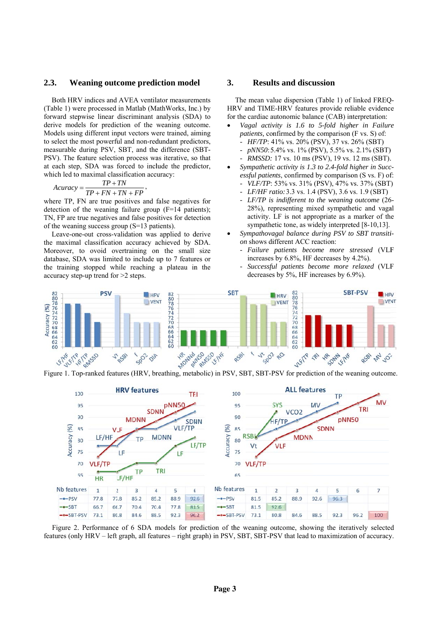#### $2.3.$ **Weaning outcome prediction model**

Both HRV indices and AVEA ventilator measurements (Table 1) were processed in Matlab (MathWorks, Inc.) by forward stepwise linear discriminant analysis (SDA) to derive models for prediction of the weaning outcome. Models using different input vectors were trained, aiming to select the most powerful and non-redundant predictors, measurable during PSV, SBT, and the difference (SBT-PSV). The feature selection process was iterative, so that at each step, SDA was forced to include the predictor, which led to maximal classification accuracy:

$$
Acuracy = \frac{TP + TN}{TP + FN + TN + FP}
$$

where TP, FN are true positives and false negatives for detection of the weaning failure group  $(F=14 \text{ patients})$ ; TN, FP are true negatives and false positives for detection of the weaning success group  $(S=13$  patients).

Leave-one-out cross-validation was applied to derive the maximal classification accuracy achieved by SDA. Moreover, to ovoid overtraining on the small size database, SDA was limited to include up to 7 features or the training stopped while reaching a plateau in the accuracy step-up trend for  $>2$  steps.

#### 3. **Results and discussion**

The mean value dispersion (Table 1) of linked FREQ-HRV and TIME-HRV features provide reliable evidence for the cardiac autonomic balance (CAB) interpretation:

- Vagal activity is 1.6 to 5-fold higher in Failure *patients*, confirmed by the comparison (F vs. S) of:
	- HF/TP: 41% vs. 20% (PSV), 37 vs. 26% (SBT)
	- *pNN50*:5.4% vs. 1% (PSV), 5.5% vs. 2.1% (SBT) *RMSSD*: 17 vs. 10 ms (PSV), 19 vs. 12 ms (SBT).
	-
- Sympathetic activity is 1.3 to 2.4-fold higher in Succ*essful patients*, confirmed by comparison (S vs. F) of: VLF/TP: 53% vs. 31% (PSV), 47% vs. 37% (SBT)
	- LF/HF ratio: 3.3 vs. 1.4 (PSV), 3.6 vs. 1.9 (SBT)
	- LF/TP is indifferent to the weaning outcome (26-28%), representing mixed sympathetic and vagal activity. LF is not appropriate as a marker of the sympathetic tone, as widely interpreted [8-10,13].
- Sympathovagal balance during PSV to SBT transition shows different ACC reaction:
	- Failure patients become more stressed (VLF increases by 6.8%, HF decreases by 4.2%).
	- Successful patients become more relaxed (VLF decreases by  $5\%$ , HF increases by  $6.9\%$ ).





Figure 1. Top-ranked features (HRV, breathing, metabolic) in PSV, SBT, SBT-PSV for prediction of the weaning outcome.

Figure 2. Performance of 6 SDA models for prediction of the weaning outcome, showing the iteratively selected features (only HRV – left graph, all features – right graph) in PSV, SBT, SBT-PSV that lead to maximization of accuracy.